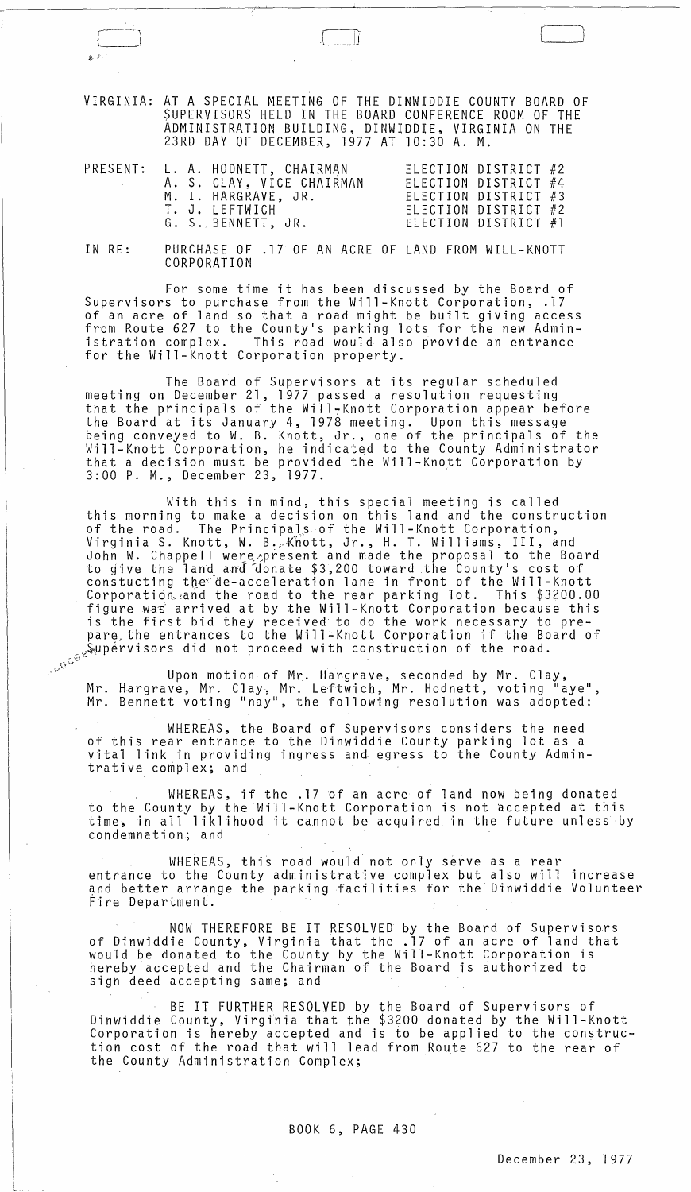VIRGINIA: AT A SPECIAL MEETING OF THE DINWIDDIE COUNTY BOARD OF SUPERVISORS HELD IN THE BOARD CONFERENCE ROOM OF THE ADMINISTRATION BUILDING, DINWIDDIE, VIRGINIA ON THE 23RD DAY OF DECEMBER, 1977 AT 10:30 A. M.

 $\overline{I}$ 

 $\Box$ 

|  |  | PRESENT: L. A. HODNETT, CHAIRMAN<br>A. S. CLAY, VICE CHAIRMAN |                      | ELECTION DISTRICT #2<br>ELECTION DISTRICT #4 |  |
|--|--|---------------------------------------------------------------|----------------------|----------------------------------------------|--|
|  |  | M. I. HARGRAVE, JR.<br>T. J. LEFTWICH                         | ELECTION DISTRICT #2 | ELECTION DISTRICT #3                         |  |
|  |  | G. S. BENNETT, JR.                                            |                      | ELECTION DISTRICT #1                         |  |

IN RE: PURCHASE OF .17 OF AN ACRE OF LAND FROM WILL-KNOTT CORPORATION

For some time it has been discussed by the Board of Supervisors to purchase from the Will-Knott Corporation, .17 of an acre of land so that a road might be built giving access from Route 627 to the County's parking lots for the new Administration complex. This road would also provide an entrance for the Will-Knott Corporation property.

The Board of Supervisors at its regular scheduled meeting on December 21, 1977 passed a resolution requesting that the principals of the Will-Knott Corporation appear before the Board at its January 4, 1978 meeting. Upon this message being conveyed to W. B. Knott, Jr., one of the principals of the Will-Knott Corporation, he indicated to the County Administrator that a decision must be provided the Will-Knott Corporation by 3:00 P. M., December 23, 1977.

With this in mind, this special meeting is called this morning to make a decision on this land and the construction of the road. The Principals of the Will-Knott Corporation, virginia S. Knott, W. B. Knott, Jr., H. T. Williams, III, and John W. Chappell were present and made the proposal to the Board to give the land and donate \$3,200 toward the County's cost of constucting the de-acceleration lane in front of the Will-Knott concounceing one accordination rane in iron or one million. \$3200.00 figure was arrived at by the Will-Knott Corporation because this is the first bid they received to do the work necessary to prepare.the entrances to the Will-Knott Corporation if the Board of \_J~~~rvisors did not proceed with construction of the road . . <sup>~</sup>- \_ *...* '.~~'v

Upon motion of Mr. Hargrave, seconded by Mr. Clay, Mr. Hargrave, Mr. Clay, Mr. Leftwich, Mr. Hodnett, voting "aye", Mr. Bennett voting "nay", the following resolution was adopted:

WHEREAS, the Board of Supervisors considers the need of this rear entrance to the Dinwiddie County parking lot as a vital link in providing ingress and egress to the County Admintrative complex; and

WHEREAS, if the .17 of an acre of land now being donated to the County by the Will-Knott Corporation is not accepted at this time, in all liklihood it cannot be acquired in the future unless by condemnation; and

WHEREAS, this road would not only serve as a rear entrance to the County administrative complex but also will increase and better arrange the parking facilities for the Dinwiddie Volunteer Fire Department.

NOW THEREFORE BE IT RESOLVED by the Board of Supervisors of Dinwiddie County, Virginia that the .17 of an acre of land that would be donated to the County by the Will-Knott Corporation is hereby accepted and the Chairman of the Board is authorized to sign deed accepting same; and

BE IT FURTHER RESOLVED by the Board of Supervisors of Dinwiddie County, Virginia that the \$3200 donated by the Will-Knott Corporation is hereby accepted and is to be applied to the construction cost of the road that will lead from Route 627 to the rear of the County Administration Complex;

 $\vdash$ 

 $\sim 10$